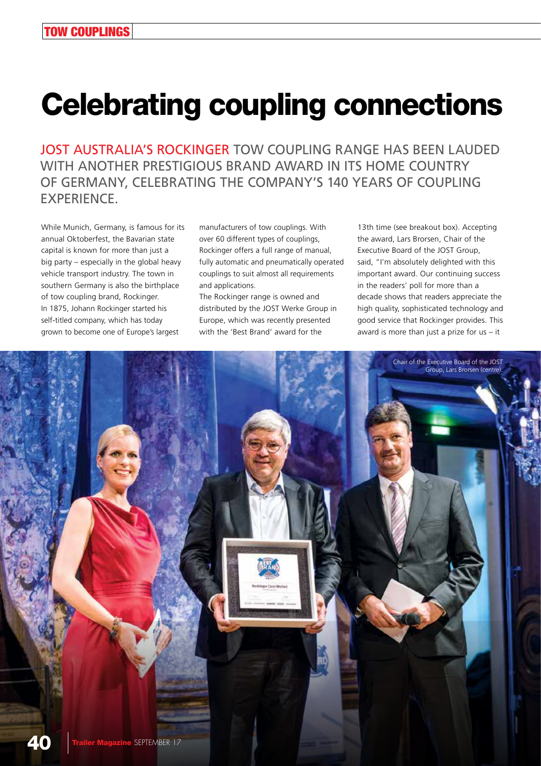## Celebrating coupling connections

JOST AUSTRALIA'S ROCKINGER TOW COUPLING RANGE HAS BEEN LAUDED WITH ANOTHER PRESTIGIOUS BRAND AWARD IN ITS HOME COUNTRY OF GERMANY, CELEBRATING THE COMPANY'S 140 YEARS OF COUPLING EXPERIENCE.

While Munich, Germany, is famous for its annual Oktoberfest, the Bavarian state capital is known for more than just a big party – especially in the global heavy vehicle transport industry. The town in southern Germany is also the birthplace of tow coupling brand, Rockinger. In 1875, Johann Rockinger started his self-titled company, which has today grown to become one of Europe's largest

manufacturers of tow couplings. With over 60 different types of couplings, Rockinger offers a full range of manual, fully automatic and pneumatically operated couplings to suit almost all requirements and applications.

The Rockinger range is owned and distributed by the JOST Werke Group in Europe, which was recently presented with the 'Best Brand' award for the

13th time (see breakout box). Accepting the award, Lars Brorsen, Chair of the Executive Board of the JOST Group, said, "I'm absolutely delighted with this important award. Our continuing success in the readers' poll for more than a decade shows that readers appreciate the high quality, sophisticated technology and good service that Rockinger provides. This award is more than just a prize for  $us - it$ 

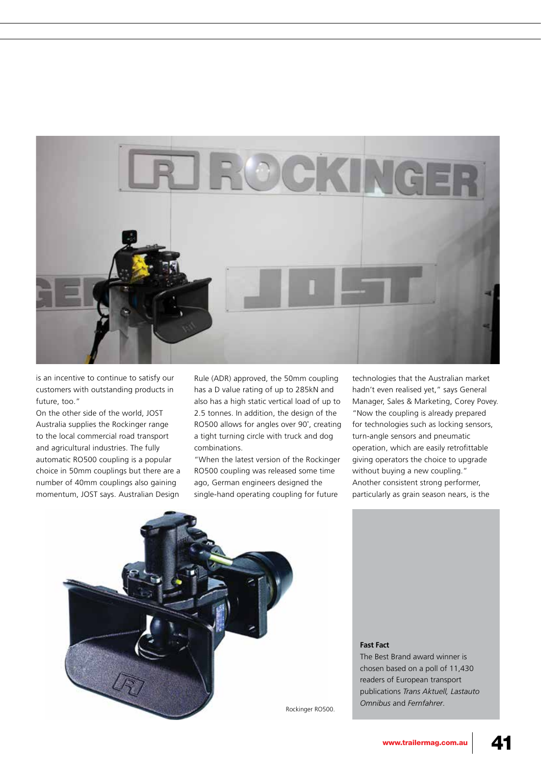

is an incentive to continue to satisfy our customers with outstanding products in future, too."

On the other side of the world, JOST Australia supplies the Rockinger range to the local commercial road transport and agricultural industries. The fully automatic RO500 coupling is a popular choice in 50mm couplings but there are a number of 40mm couplings also gaining momentum, JOST says. Australian Design

Rule (ADR) approved, the 50mm coupling has a D value rating of up to 285kN and also has a high static vertical load of up to 2.5 tonnes. In addition, the design of the RO500 allows for angles over 90˚, creating a tight turning circle with truck and dog combinations.

"When the latest version of the Rockinger RO500 coupling was released some time ago, German engineers designed the single-hand operating coupling for future

technologies that the Australian market hadn't even realised yet," says General Manager, Sales & Marketing, Corey Povey. "Now the coupling is already prepared for technologies such as locking sensors, turn-angle sensors and pneumatic operation, which are easily retrofittable giving operators the choice to upgrade without buying a new coupling." Another consistent strong performer, particularly as grain season nears, is the



**Fast Fact**

The Best Brand award winner is chosen based on a poll of 11,430 readers of European transport publications *Trans Aktuell, Lastauto Omnibus* and *Fernfahrer*. Rockinger RO500.

www.trailermag.com.au